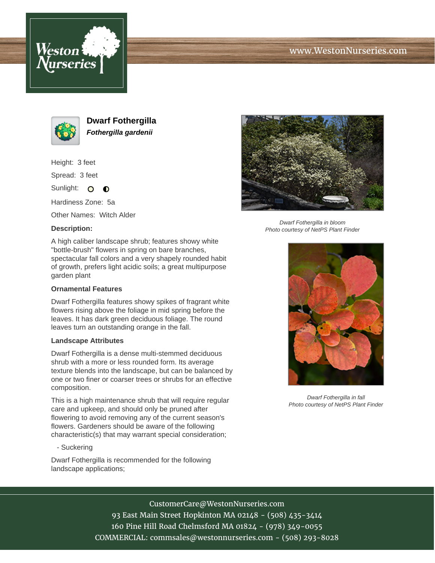





**Dwarf Fothergilla Fothergilla gardenii**

Height: 3 feet

Spread: 3 feet

Sunlight: O **O** 

Hardiness Zone: 5a

Other Names: Witch Alder

## **Description:**



## **Ornamental Features**

Dwarf Fothergilla features showy spikes of fragrant white flowers rising above the foliage in mid spring before the leaves. It has dark green deciduous foliage. The round leaves turn an outstanding orange in the fall.

## **Landscape Attributes**

Dwarf Fothergilla is a dense multi-stemmed deciduous shrub with a more or less rounded form. Its average texture blends into the landscape, but can be balanced by one or two finer or coarser trees or shrubs for an effective composition.

This is a high maintenance shrub that will require regular care and upkeep, and should only be pruned after flowering to avoid removing any of the current season's flowers. Gardeners should be aware of the following characteristic(s) that may warrant special consideration;

- Suckering

Dwarf Fothergilla is recommended for the following landscape applications;



Dwarf Fothergilla in bloom Photo courtesy of NetPS Plant Finder



Dwarf Fothergilla in fall Photo courtesy of NetPS Plant Finder

CustomerCare@WestonNurseries.com

93 East Main Street Hopkinton MA 02148 - (508) 435-3414 160 Pine Hill Road Chelmsford MA 01824 - (978) 349-0055 COMMERCIAL: commsales@westonnurseries.com - (508) 293-8028